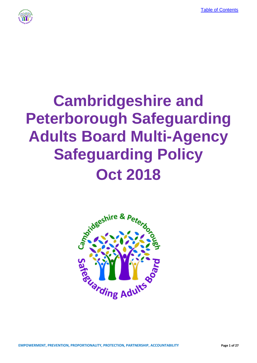[Table of Contents](#page-3-0)



# **Cambridgeshire and Peterborough Safeguarding Adults Board Multi-Agency Safeguarding Policy Oct 2018**

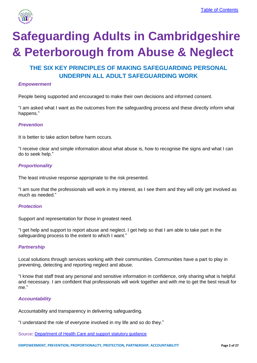

# **Safeguarding Adults in Cambridgeshire & Peterborough from Abuse & Neglect**

# **THE SIX KEY PRINCIPLES OF MAKING SAFEGUARDING PERSONAL UNDERPIN ALL ADULT SAFEGUARDING WORK**

#### *Empowerment*

People being supported and encouraged to make their own decisions and informed consent.

"I am asked what I want as the outcomes from the safeguarding process and these directly inform what happens." ti-Sopio Bonig Sapportou and Shoodragou to make their own decidents and inter-

#### *Prevention*

It is better to take action before harm occurs.

"I receive clear and simple information about what abuse is, how to recognise the signs and what I can do to seek help."

#### *Proportionality*

The least intrusive response appropriate to the risk presented.

"I am sure that the professionals will work in my interest, as I see them and they will only get involved as much as needed."

#### *Protection*

Support and representation for those in greatest need.

"I get help and support to report abuse and neglect. I get help so that I am able to take part in the safeguarding process to the extent to which I want."

#### *Partnership*

Local solutions through services working with their communities. Communities have a part to play in preventing, detecting and reporting neglect and abuse.

"I know that staff treat any personal and sensitive information in confidence, only sharing what is helpful and necessary. I am confident that professionals will work together and with me to get the best result for me."

#### *Accountability*

Accountability and transparency in delivering safeguarding.

"I understand the role of everyone involved in my life and so do they."

Source: [Department of Health Care and support statutory guidance](https://www.gov.uk/government/publications/care-act-statutory-guidance/care-and-support-statutory-guidance#safeguarding-1)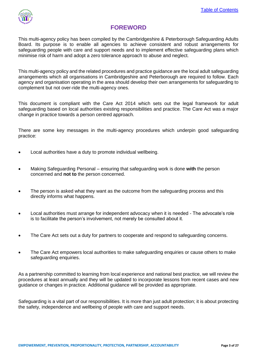

# **FOREWORD**

<span id="page-2-0"></span>This multi-agency policy has been compiled by the Cambridgeshire & Peterborough Safeguarding Adults Board. Its purpose is to enable all agencies to achieve consistent and robust arrangements for safeguarding people with care and support needs and to implement effective safeguarding plans which minimise risk of harm and adopt a zero tolerance approach to abuse and neglect.

This multi-agency policy and the related procedures and practice guidance are the local adult safeguarding arrangements which all organisations in Cambridgeshire and Peterborough are required to follow. Each agency and organisation operating in the area should develop their own arrangements for safeguarding to complement but not over-ride the multi-agency ones.

This document is compliant with the Care Act 2014 which sets out the legal framework for adult safeguarding based on local authorities existing responsibilities and practice. The Care Act was a major change in practice towards a person centred approach.

There are some key messages in the multi-agency procedures which underpin good safeguarding practice:

- Local authorities have a duty to promote individual wellbeing.
- Making Safeguarding Personal ensuring that safeguarding work is done **with** the person concerned and **not to** the person concerned.
- The person is asked what they want as the outcome from the safeguarding process and this directly informs what happens.
- Local authorities must arrange for independent advocacy when it is needed The advocate's role is to facilitate the person's involvement, not merely be consulted about it.
- The Care Act sets out a duty for partners to cooperate and respond to safeguarding concerns.
- The Care Act empowers local authorities to make safeguarding enquiries or cause others to make safeguarding enquiries.

As a partnership committed to learning from local experience and national best practice, we will review the procedures at least annually and they will be updated to incorporate lessons from recent cases and new guidance or changes in practice. Additional guidance will be provided as appropriate.

Safeguarding is a vital part of our responsibilities. It is more than just adult protection; it is about protecting the safety, independence and wellbeing of people with care and support needs.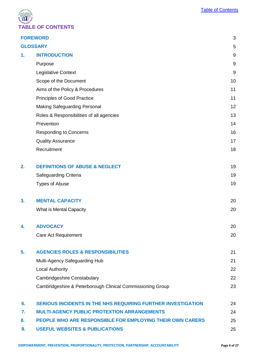

<span id="page-3-0"></span>

|                 | <b>FOREWORD</b>                                                     | 3     |  |
|-----------------|---------------------------------------------------------------------|-------|--|
| <b>GLOSSARY</b> |                                                                     |       |  |
| 1.              | <b>INTRODUCTION</b>                                                 | 9     |  |
|                 | Purpose                                                             | $9\,$ |  |
|                 | Legislative Context                                                 | 9     |  |
|                 | Scope of the Document                                               | 10    |  |
|                 | Aims of the Policy & Procedures                                     | 11    |  |
|                 | Principles of Good Practice                                         | 11    |  |
|                 | <b>Making Safeguarding Personal</b>                                 | 12    |  |
|                 | Roles & Responsibilities of all agencies                            | 13    |  |
|                 | Prevention                                                          | 14    |  |
|                 | <b>Responding to Concerns</b>                                       | 16    |  |
|                 | <b>Quality Assurance</b>                                            | 17    |  |
|                 | Recruitment                                                         | 18    |  |
|                 |                                                                     |       |  |
| 2.              | <b>DEFINITIONS OF ABUSE &amp; NEGLECT</b>                           | 19    |  |
|                 | Safeguarding Criteria                                               | 19    |  |
|                 | <b>Types of Abuse</b>                                               | 19    |  |
|                 |                                                                     |       |  |
| 3.              | <b>MENTAL CAPACITY</b>                                              | 20    |  |
|                 | What is Mental Capacity                                             | 20    |  |
|                 |                                                                     |       |  |
| 4.              | <b>ADVOCACY</b>                                                     | 20    |  |
|                 | <b>Care Act Requirement</b>                                         | 20    |  |
|                 |                                                                     |       |  |
| 5.              | <b>AGENCIES ROLES &amp; RESPONSIBILITIES</b>                        | 21    |  |
|                 | Multi-Agency Safeguarding Hub                                       | 21    |  |
|                 | <b>Local Authority</b>                                              | 22    |  |
|                 | Cambridgeshire Constabulary                                         | 22    |  |
|                 | Cambridgeshire & Peterborough Clinical Commissioning Group          | 23    |  |
|                 |                                                                     |       |  |
| 6.              | <b>SERIOUS INCIDENTS IN THE NHS REQUIRING FURTHER INVESTIGATION</b> | 24    |  |
| 7.              | <b>MULTI-AGENCY PUBLIC PROTEXTION ARRANGEMENTS</b>                  | 24    |  |
| 8.              | PEOPLE WHO ARE RESPONSIBLE FOR EMPLOYING THEIR OWN CARERS           | 25    |  |
| 9.              | <b>USEFUL WEBSITES &amp; PUBLICATIONS</b>                           | 25    |  |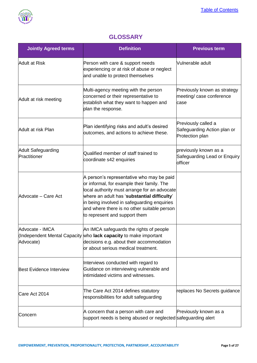

# **GLOSSARY**

<span id="page-4-0"></span>

| <b>Jointly Agreed terms</b>               | <b>Definition</b>                                                                                                                                                                                                                                                                                                     | <b>Previous term</b>                                                  |
|-------------------------------------------|-----------------------------------------------------------------------------------------------------------------------------------------------------------------------------------------------------------------------------------------------------------------------------------------------------------------------|-----------------------------------------------------------------------|
| <b>Adult at Risk</b>                      | Person with care & support needs<br>experiencing or at risk of abuse or neglect<br>and unable to protect themselves                                                                                                                                                                                                   | Vulnerable adult                                                      |
| Adult at risk meeting                     | Multi-agency meeting with the person<br>concerned or their representative to<br>establish what they want to happen and<br>plan the response.                                                                                                                                                                          | Previously known as strategy<br>meeting/ case conference<br>case      |
| Adult at risk Plan                        | Plan identifying risks and adult's desired<br>outcomes, and actions to achieve these.                                                                                                                                                                                                                                 | Previously called a<br>Safeguarding Action plan or<br>Protection plan |
| <b>Adult Safeguarding</b><br>Practitioner | Qualified member of staff trained to<br>coordinate s42 enquiries                                                                                                                                                                                                                                                      | previously known as a<br>Safeguarding Lead or Enquiry<br>officer      |
| Advocate - Care Act                       | A person's representative who may be paid<br>or informal, for example their family. The<br>local authority must arrange for an advocate<br>where an adult has 'substantial difficulty'<br>in being involved in safeguarding enquiries<br>and where there is no other suitable person<br>to represent and support them |                                                                       |
| Advocate - IMCA<br>Advocate)              | An IMCA safeguards the rights of people<br>Independent Mental Capacity who lack capacity to make important<br>decisions e.g. about their accommodation<br>or about serious medical treatment.                                                                                                                         |                                                                       |
| <b>Best Evidence Interview</b>            | Interviews conducted with regard to<br>Guidance on interviewing vulnerable and<br>intimidated victims and witnesses.                                                                                                                                                                                                  |                                                                       |
| Care Act 2014                             | The Care Act 2014 defines statutory<br>responsibilities for adult safeguarding                                                                                                                                                                                                                                        | replaces No Secrets guidance                                          |
| Concern                                   | A concern that a person with care and<br>support needs is being abused or neglected safeguarding alert                                                                                                                                                                                                                | Previously known as a                                                 |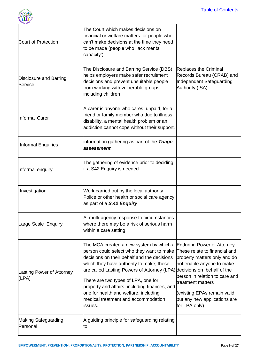

| <b>"ding Adults</b>                      |                                                                                                                                                                                                                                                                                                                                                                                                                                                                          |                                                                                                                                                                                                                                   |
|------------------------------------------|--------------------------------------------------------------------------------------------------------------------------------------------------------------------------------------------------------------------------------------------------------------------------------------------------------------------------------------------------------------------------------------------------------------------------------------------------------------------------|-----------------------------------------------------------------------------------------------------------------------------------------------------------------------------------------------------------------------------------|
| Court of Protection                      | The Court which makes decisions on<br>financial or welfare matters for people who<br>can't make decisions at the time they need<br>to be made (people who 'lack mental<br>capacity').                                                                                                                                                                                                                                                                                    |                                                                                                                                                                                                                                   |
| <b>Disclosure and Barring</b><br>Service | The Disclosure and Barring Service (DBS)<br>helps employers make safer recruitment<br>decisions and prevent unsuitable people<br>from working with vulnerable groups,<br>including children                                                                                                                                                                                                                                                                              | Replaces the Criminal<br>Records Bureau (CRAB) and<br>Independent Safeguarding<br>Authority (ISA).                                                                                                                                |
| Informal Carer                           | A carer is anyone who cares, unpaid, for a<br>friend or family member who due to illness,<br>disability, a mental health problem or an<br>addiction cannot cope without their support.                                                                                                                                                                                                                                                                                   |                                                                                                                                                                                                                                   |
| <b>Informal Enquiries</b>                | information gathering as part of the Triage<br>assessment                                                                                                                                                                                                                                                                                                                                                                                                                |                                                                                                                                                                                                                                   |
| Informal enquiry                         | The gathering of evidence prior to deciding<br>if a S42 Enquiry is needed                                                                                                                                                                                                                                                                                                                                                                                                |                                                                                                                                                                                                                                   |
| Investigation                            | Work carried out by the local authority<br>Police or other health or social care agency<br>as part of a S.42 Enquiry                                                                                                                                                                                                                                                                                                                                                     |                                                                                                                                                                                                                                   |
| Large Scale Enquiry                      | A multi-agency response to circumstances<br>where there may be a risk of serious harm<br>within a care setting                                                                                                                                                                                                                                                                                                                                                           |                                                                                                                                                                                                                                   |
| Lasting Power of Attorney<br>(LPA)       | The MCA created a new system by which a Enduring Power of Attorney.<br>person could select who they want to make<br>decisions on their behalf and the decisions<br>which they have authority to make; these<br>are called Lasting Powers of Attorney (LPA) decisions on behalf of the<br>There are two types of LPA, one for<br>property and affairs, including finances, and<br>one for health and welfare, including<br>medical treatment and accommodation<br>issues. | These relate to financial and<br>property matters only and do<br>not enable anyone to make<br>person in relation to care and<br>treatment matters<br>(existing EPAs remain valid<br>but any new applications are<br>for LPA only) |
| <b>Making Safeguarding</b><br>Personal   | A guiding principle for safeguarding relating<br>ΙtΟ                                                                                                                                                                                                                                                                                                                                                                                                                     |                                                                                                                                                                                                                                   |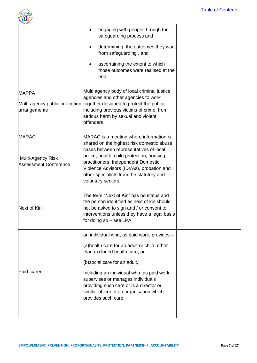

|                                                                   | engaging with people through the<br>safeguarding process and                                                                                                                                                                                                                                                                                                 |  |
|-------------------------------------------------------------------|--------------------------------------------------------------------------------------------------------------------------------------------------------------------------------------------------------------------------------------------------------------------------------------------------------------------------------------------------------------|--|
|                                                                   | determining the outcomes they want<br>from safeguarding, and                                                                                                                                                                                                                                                                                                 |  |
|                                                                   | ascertaining the extent to which<br>those outcomes were realised at the<br>end.                                                                                                                                                                                                                                                                              |  |
| <b>MAPPA</b><br>arrangements                                      | Multi agency body of local criminal justice<br>agencies and other agencies to work<br>Multi-agency public protection together designed to protect the public,<br>including previous victims of crime, from<br>serious harm by sexual and violent<br><b>offenders</b>                                                                                         |  |
| <b>MARAC</b><br>Multi-Agency Risk<br><b>Assessment Conference</b> | MARAC is a meeting where information is<br>shared on the highest risk domestic abuse<br>cases between representatives of local<br>police, health, child protection, housing<br>practitioners, Independent Domestic<br>Violence Advisors (IDVAs), probation and<br>other specialists from the statutory and<br>voluntary sectors.                             |  |
| Next of Kin                                                       | The term "Next of Kin" has no status and<br>the person identified as next of kin should<br>not be asked to sign and / or consent to<br>interventions unless they have a legal basis<br>for doing so – see LPA                                                                                                                                                |  |
| Paid carer                                                        | an individual who, as paid work, provides—<br>(a)health care for an adult or child, other<br>than excluded health care, or<br>(b) social care for an adult,<br>Including an individual who, as paid work,<br>supervises or manages individuals<br>providing such care or is a director or<br>similar officer of an organisation which<br>provides such care. |  |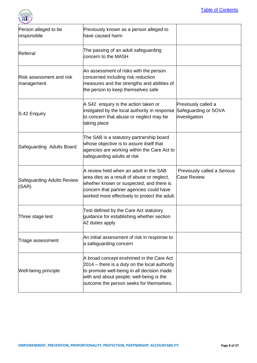

| Person alleged to be<br>responsible    | Previously known as a person alleged to<br>have caused harm                                                                                                                                                                      |                                                              |
|----------------------------------------|----------------------------------------------------------------------------------------------------------------------------------------------------------------------------------------------------------------------------------|--------------------------------------------------------------|
| Referral                               | The passing of an adult safeguarding<br>concern to the MASH                                                                                                                                                                      |                                                              |
| Risk assessment and risk<br>management | An assessment of risks with the person<br>concerned including risk reduction<br>measures and the strengths and abilities of<br>the person to keep themselves safe                                                                |                                                              |
| S.42 Enquiry                           | A S42 enquiry is the action taken or<br>instigated by the local authority in response<br>to concern that abuse or neglect may be<br>taking place                                                                                 | Previously called a<br>Safeguarding or SOVA<br>investigation |
| Safeguarding Adults Board              | The SAB is a statutory partnership board<br>whose objective is to assure itself that<br>agencies are working within the Care Act to<br>safeguarding adults at risk                                                               |                                                              |
| Safeguarding Adults Review<br>(SAR)    | A review held when an adult in the SAB<br>area dies as a result of abuse or neglect,<br>whether known or suspected, and there is<br>concern that partner agencies could have<br>worked more effectively to protect the adult.    | Previously called a Serious<br><b>Case Review</b>            |
| ∏hree stage test                       | Test defined by the Care Act statutory<br>guidance for establishing whether section<br>42 duties apply                                                                                                                           |                                                              |
| Triage assessment                      | An initial assessment of risk in response to<br>a safeguarding concern                                                                                                                                                           |                                                              |
| Well-being principle                   | A broad concept enshrined in the Care Act<br>2014 – there is a duty on the local authority<br>to promote well-being in all decision made<br>with and about people; well-being is the<br>outcome the person seeks for themselves. |                                                              |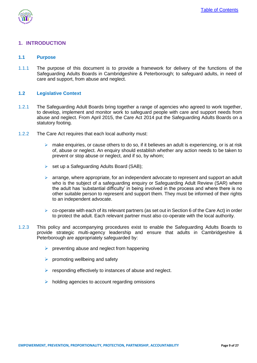

#### <span id="page-8-0"></span>**1. INTRODUCTION**

#### <span id="page-8-1"></span>**1.1 Purpose**

1.1.1 The purpose of this document is to provide a framework for delivery of the functions of the Safeguarding Adults Boards in Cambridgeshire & Peterborough; to safeguard adults, in need of care and support, from abuse and neglect.

#### <span id="page-8-2"></span>**1.2 Legislative Context**

- 1.2.1 The Safeguarding Adult Boards bring together a range of agencies who agreed to work together, to develop, implement and monitor work to safeguard people with care and support needs from abuse and neglect. From April 2015, the Care Act 2014 put the Safeguarding Adults Boards on a statutory footing.
- 1.2.2 The Care Act requires that each local authority must:
	- $\triangleright$  make enquiries, or cause others to do so, if it believes an adult is experiencing, or is at risk of, abuse or neglect. An enquiry should establish whether any action needs to be taken to prevent or stop abuse or neglect, and if so, by whom;
	- $\triangleright$  set up a Safeguarding Adults Board (SAB);
	- $\triangleright$  arrange, where appropriate, for an independent advocate to represent and support an adult who is the subject of a safeguarding enquiry or Safeguarding Adult Review (SAR) where the adult has 'substantial difficulty' in being involved in the process and where there is no other suitable person to represent and support them. They must be informed of their rights to an independent advocate.
	- $\triangleright$  co-operate with each of its relevant partners (as set out in Section 6 of the Care Act) in order to protect the adult. Each relevant partner must also co-operate with the local authority.
- 1.2.3 This policy and accompanying procedures exist to enable the Safeguarding Adults Boards to provide strategic multi-agency leadership and ensure that adults in Cambridgeshire & Peterborough are appropriately safeguarded by:
	- $\triangleright$  preventing abuse and neglect from happening
	- $\triangleright$  promoting wellbeing and safety
	- $\triangleright$  responding effectively to instances of abuse and neglect.
	- $\triangleright$  holding agencies to account regarding omissions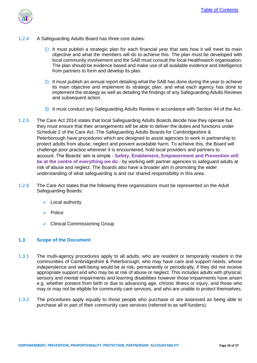

- 1.2.4 A Safeguarding Adults Board has three core duties:
	- 1) It must publish a strategic plan for each financial year that sets how it will meet its main objective and what the members will do to achieve this. The plan must be developed with local community involvement and the SAB must consult the local Healthwatch organisation. The plan should be evidence based and make use of all available evidence and intelligence from partners to form and develop its plan.
	- 2) It must publish an annual report detailing what the SAB has done during the year to achieve its main objective and implement its strategic plan, and what each agency has done to implement the strategy as well as detailing the findings of any Safeguarding Adults Reviews and subsequent action.
	- 3) It must conduct any Safeguarding Adults Review in accordance with Section 44 of the Act.
- 1.2.5 The Care Act 2014 states that local Safeguarding Adults Boards decide how they operate but they must ensure that their arrangements will be able to deliver the duties and functions under Schedule 2 of the Care Act. The Safeguarding Adults Boards for Cambridgeshire & Peterborough have procedures which are designed to assist agencies to work in partnership to protect adults from abuse, neglect and prevent avoidable harm. To achieve this, the Board will challenge poor practice wherever it is encountered, hold local providers and partners to account. The Boards' aim is simple - **Safety, Enablement, Empowerment and Prevention will be at the centre of everything we do -** by working with partner agencies to safeguard adults at risk of abuse and neglect. The Boards also have a broader aim in promoting the wider understanding of what safeguarding is and our shared responsibility in this area.
- 1.2.6 The Care Act states that the following three organisations must be represented on the Adult Safeguarding Boards:
	- $\triangleright$  Local authority
	- $\triangleright$  Police
	- Clinical Commissioning Group

#### <span id="page-9-0"></span>**1.3 Scope of the Document**

- 1.3.1 The multi-agency procedures apply to all adults, who are resident or temporarily resident in the communities of Cambridgeshire & Peterborough, who may have care and support needs, whose independence and well-being would be at risk, permanently or periodically, if they did not receive appropriate support and who may be at risk of abuse or neglect. This includes adults with physical, sensory and mental impairments and learning disabilities however those impairments have arisen e.g. whether present from birth or due to advancing age, chronic illness or injury, and those who may or may not be eligible for community care services, and who are unable to protect themselves.
- 1.3.2 The procedures apply equally to those people who purchase or are assessed as being able to purchase all or part of their community care services (referred to as self-funders).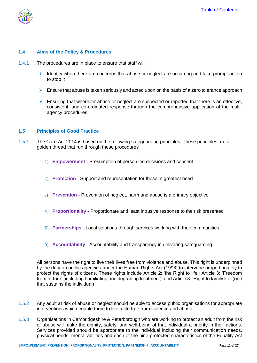

#### <span id="page-10-0"></span>**1.4 Aims of the Policy & Procedures**

- 1.4.1 The procedures are in place to ensure that staff will:
	- Identify when there are concerns that abuse or neglect are occurring and take prompt action to stop it
	- $\triangleright$  Ensure that abuse is taken seriously and acted upon on the basis of a zero tolerance approach
	- $\triangleright$  Ensuring that wherever abuse or neglect are suspected or reported that there is an effective, consistent, and co-ordinated response through the comprehensive application of the multiagency procedures.

#### <span id="page-10-1"></span>**1.5 Principles of Good Practice**

- 1.5.1 The Care Act 2014 is based on the following safeguarding principles. These principles are a golden thread that run through these procedures
	- **Empowerment**  Presumption of person led decisions and consent
	- **Protection**  Support and representation for those in greatest need
	- 3) **Prevention**  Prevention of neglect, harm and abuse is a primary objective
	- **Proportionality**  Proportionate and least intrusive response to the risk presented
	- **Partnerships**  Local solutions through services working with their communities
	- **Accountability**  Accountability and transparency in delivering safeguarding.

All persons have the right to live their lives free from violence and abuse. This right is underpinned by the duty on public agencies under the Human Rights Act (1998) to intervene proportionately to protect the rights of citizens. These rights include Article 2: 'the Right to life'; Article 3: 'Freedom from torture' (including humiliating and degrading treatment); and Article 8: 'Right to family life' (one that sustains the individual)

- 1.5.2 Any adult at risk of abuse or neglect should be able to access public organisations for appropriate interventions which enable them to live a life free from violence and abuse.
- 1.5.3 Organisations in Cambridgeshire & Peterborough who are working to protect an adult from the risk of abuse will make the dignity, safety, and well-being of that individual a priority in their actions. Services provided should be appropriate to the individual including their communication needs, physical needs, mental abilities and each of the nine protected characteristics of the Equality Act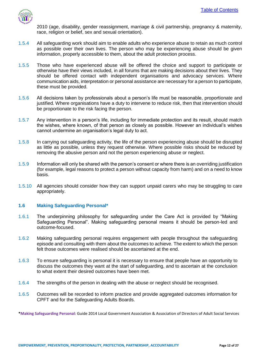

2010 (age, disability, gender reassignment, marriage & civil partnership, pregnancy & maternity, race, religion or belief, sex and sexual orientation).

- 1.5.4 All safeguarding work should aim to enable adults who experience abuse to retain as much control as possible over their own lives. The person who may be experiencing abuse should be given information, properly accessible to them, about the adult protection process.
- 1.5.5 Those who have experienced abuse will be offered the choice and support to participate or otherwise have their views included, in all forums that are making decisions about their lives. They should be offered contact with independent organisations and advocacy services. Where communication aids, interpretation or personal assistance are necessary for a person to participate, these must be provided.
- 1.5.6 All decisions taken by professionals about a person's life must be reasonable, proportionate and justified. Where organisations have a duty to intervene to reduce risk, then that intervention should be proportionate to the risk facing the person.
- 1.5.7 Any intervention in a person's life, including for immediate protection and its result, should match the wishes, where known, of that person as closely as possible. However an individual's wishes cannot undermine an organisation's legal duty to act.
- 1.5.8 In carrying out safeguarding activity, the life of the person experiencing abuse should be disrupted as little as possible, unless they request otherwise. Where possible risks should be reduced by removing the abusive person and not the person experiencing abuse or neglect.
- 1.5.9 Information will only be shared with the person's consent or where there is an overriding justification (for example, legal reasons to protect a person without capacity from harm) and on a need to know basis.
- 1.5.10 All agencies should consider how they can support unpaid carers who may be struggling to care appropriately.

#### <span id="page-11-0"></span>**1.6 Making Safeguarding Personal\***

- 1.6.1 The underpinning philosophy for safeguarding under the Care Act is provided by "Making Safeguarding Personal". Making safeguarding personal means it should be person-led and outcome-focused.
- 1.6.2 Making safeguarding personal requires engagement with people throughout the safeguarding episode and consulting with them about the outcomes to achieve. The extent to which the person felt those outcomes were realised should be ascertained at the end.
- 1.6.3 To ensure safeguarding is personal it is necessary to ensure that people have an opportunity to discuss the outcomes they want at the start of safeguarding, and to ascertain at the conclusion to what extent their desired outcomes have been met.
- 1.6.4 The strengths of the person in dealing with the abuse or neglect should be recognised.
- 1.6.5 Outcomes will be recorded to inform practice and provide aggregated outcomes information for CPFT and for the Safeguarding Adults Boards.

**\*Making Safeguarding Personal:** Guide 2014 Local Government Association & Association of Directors of Adult Social Services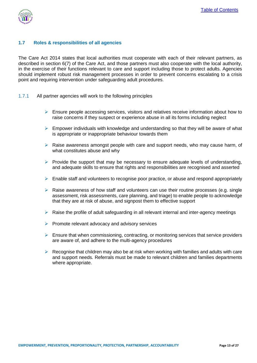

#### <span id="page-12-0"></span>**1.7 Roles & responsibilities of all agencies**

The Care Act 2014 states that local authorities must cooperate with each of their relevant partners, as described in section 6(7) of the Care Act, and those partners must also cooperate with the local authority, in the exercise of their functions relevant to care and support including those to protect adults. Agencies should implement robust risk management processes in order to prevent concerns escalating to a crisis point and requiring intervention under safeguarding adult procedures.

- 1.7.1 All partner agencies will work to the following principles
	- $\triangleright$  Ensure people accessing services, visitors and relatives receive information about how to raise concerns if they suspect or experience abuse in all its forms including neglect
	- $\triangleright$  Empower individuals with knowledge and understanding so that they will be aware of what is appropriate or inappropriate behaviour towards them
	- $\triangleright$  Raise awareness amongst people with care and support needs, who may cause harm, of what constitutes abuse and why
	- $\triangleright$  Provide the support that may be necessary to ensure adequate levels of understanding. and adequate skills to ensure that rights and responsibilities are recognised and asserted
	- $\triangleright$  Enable staff and volunteers to recognise poor practice, or abuse and respond appropriately
	- $\triangleright$  Raise awareness of how staff and volunteers can use their routine processes (e.g. single assessment, risk assessments, care planning, and triage) to enable people to acknowledge that they are at risk of abuse, and signpost them to effective support
	- $\triangleright$  Raise the profile of adult safeguarding in all relevant internal and inter-agency meetings
	- $\triangleright$  Promote relevant advocacy and advisory services
	- $\triangleright$  Ensure that when commissioning, contracting, or monitoring services that service providers are aware of, and adhere to the multi-agency procedures
	- $\triangleright$  Recognise that children may also be at risk when working with families and adults with care and support needs. Referrals must be made to relevant children and families departments where appropriate.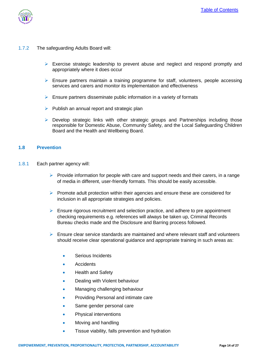

- 1.7.2 The safeguarding Adults Board will:
	- $\triangleright$  Exercise strategic leadership to prevent abuse and neglect and respond promptly and appropriately where it does occur
	- $\triangleright$  Ensure partners maintain a training programme for staff, volunteers, people accessing services and carers and monitor its implementation and effectiveness
	- $\triangleright$  Ensure partners disseminate public information in a variety of formats
	- $\triangleright$  Publish an annual report and strategic plan
	- Develop strategic links with other strategic groups and Partnerships including those responsible for Domestic Abuse, Community Safety, and the Local Safeguarding Children Board and the Health and Wellbeing Board.

#### <span id="page-13-0"></span>**1.8 Prevention**

- 1.8.1 Each partner agency will:
	- $\triangleright$  Provide information for people with care and support needs and their carers, in a range of media in different, user-friendly formats. This should be easily accessible.
	- $\triangleright$  Promote adult protection within their agencies and ensure these are considered for inclusion in all appropriate strategies and policies.
	- $\triangleright$  Ensure rigorous recruitment and selection practice, and adhere to pre appointment checking requirements e.g. references will always be taken up, Criminal Records Bureau checks made and the Disclosure and Barring process followed.
	- $\triangleright$  Ensure clear service standards are maintained and where relevant staff and volunteers should receive clear operational guidance and appropriate training in such areas as:
		- Serious Incidents
		- **Accidents**
		- Health and Safety
		- Dealing with Violent behaviour
		- Managing challenging behaviour
		- Providing Personal and intimate care
		- Same gender personal care
		- Physical interventions
		- Moving and handling
		- **•** Tissue viability, falls prevention and hydration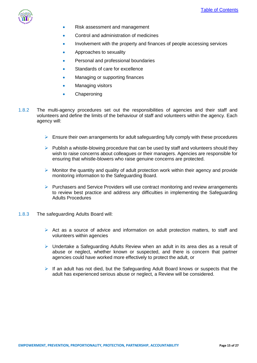

- Risk assessment and management
- Control and administration of medicines
- Involvement with the property and finances of people accessing services
- Approaches to sexuality
- Personal and professional boundaries
- Standards of care for excellence
- Managing or supporting finances
- Managing visitors
- **•** Chaperoning
- 1.8.2 The multi-agency procedures set out the responsibilities of agencies and their staff and volunteers and define the limits of the behaviour of staff and volunteers within the agency. Each agency will:
	- $\triangleright$  Ensure their own arrangements for adult safeguarding fully comply with these procedures
	- $\triangleright$  Publish a whistle-blowing procedure that can be used by staff and volunteers should they wish to raise concerns about colleagues or their managers. Agencies are responsible for ensuring that whistle-blowers who raise genuine concerns are protected.
	- $\triangleright$  Monitor the quantity and quality of adult protection work within their agency and provide monitoring information to the Safeguarding Board.
	- $\triangleright$  Purchasers and Service Providers will use contract monitoring and review arrangements to review best practice and address any difficulties in implementing the Safeguarding Adults Procedures
- 1.8.3 The safeguarding Adults Board will:
	- $\triangleright$  Act as a source of advice and information on adult protection matters, to staff and volunteers within agencies
	- $\triangleright$  Undertake a Safeguarding Adults Review when an adult in its area dies as a result of abuse or neglect, whether known or suspected, and there is concern that partner agencies could have worked more effectively to protect the adult, or
	- $\triangleright$  If an adult has not died, but the Safeguarding Adult Board knows or suspects that the adult has experienced serious abuse or neglect, a Review will be considered.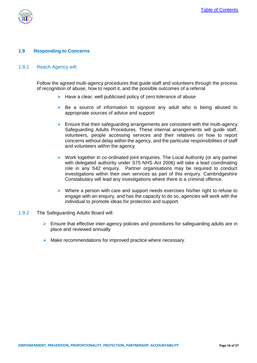



#### <span id="page-15-0"></span>**1.9 Responding to Concerns**

#### 1.9.1 Reach Agency will:

Follow the agreed multi-agency procedures that guide staff and volunteers through the process of recognition of abuse, how to report it, and the possible outcomes of a referral

- $\triangleright$  Have a clear, well publicised policy of zero tolerance of abuse
- $\triangleright$  Be a source of information to signpost any adult who is being abused to appropriate sources of advice and support
- $\triangleright$  Ensure that their safeguarding arrangements are consistent with the multi-agency Safeguarding Adults Procedures. These internal arrangements will guide staff, volunteers, people accessing services and their relatives on how to report concerns without delay within the agency, and the particular responsibilities of staff and volunteers within the agency
- $\triangleright$  Work together in co-ordinated joint enquiries. The Local Authority (or any partner with delegated authority under S75 NHS Act 2006) will take a lead coordinating role in any S42 enquiry. Partner organisations may be required to conduct investigations within their own services as part of this enquiry. Cambridgeshire Constabulary will lead any investigations where there is a criminal offence.
- $\triangleright$  Where a person with care and support needs exercises his/her right to refuse to engage with an enquiry, and has the capacity to do so, agencies will work with the individual to promote ideas for protection and support.
- 1.9.2 The Safeguarding Adults Board will:
	- $\triangleright$  Ensure that effective inter-agency policies and procedures for safeguarding adults are in place and reviewed annually
	- $\triangleright$  Make recommendations for improved practice where necessary.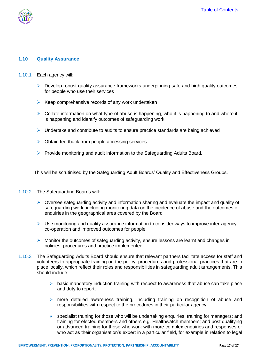

#### <span id="page-16-0"></span>**1.10 Quality Assurance**

- 1.10.1 Each agency will:
	- $\triangleright$  Develop robust quality assurance frameworks underpinning safe and high quality outcomes for people who use their services
	- $\triangleright$  Keep comprehensive records of any work undertaken
	- $\triangleright$  Collate information on what type of abuse is happening, who it is happening to and where it is happening and identify outcomes of safeguarding work
	- $\triangleright$  Undertake and contribute to audits to ensure practice standards are being achieved
	- $\triangleright$  Obtain feedback from people accessing services
	- $\triangleright$  Provide monitoring and audit information to the Safeguarding Adults Board.

This will be scrutinised by the Safeguarding Adult Boards' Quality and Effectiveness Groups.

- 1.10.2 The Safeguarding Boards will:
	- $\triangleright$  Oversee safeguarding activity and information sharing and evaluate the impact and quality of safeguarding work, including monitoring data on the incidence of abuse and the outcomes of enquiries in the geographical area covered by the Board
	- $\triangleright$  Use monitoring and quality assurance information to consider ways to improve inter-agency co-operation and improved outcomes for people
	- $\triangleright$  Monitor the outcomes of safeguarding activity, ensure lessons are learnt and changes in policies, procedures and practice implemented
- 1.10.3 The Safeguarding Adults Board should ensure that relevant partners facilitate access for staff and volunteers to appropriate training on the policy, procedures and professional practices that are in place locally, which reflect their roles and responsibilities in safeguarding adult arrangements. This should include:
	- $\triangleright$  basic mandatory induction training with respect to awareness that abuse can take place and duty to report;
	- $\triangleright$  more detailed awareness training, including training on recognition of abuse and responsibilities with respect to the procedures in their particular agency;
	- $\triangleright$  specialist training for those who will be undertaking enquiries, training for managers; and training for elected members and others e.g. Healthwatch members; and post qualifying or advanced training for those who work with more complex enquiries and responses or who act as their organisation's expert in a particular field, for example in relation to legal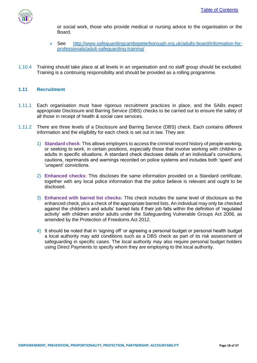

or social work, those who provide medical or nursing advice to the organisation or the Board.

- See http://www.safeguardingcambspeterborough.org.uk/adults-board/information-forprofessionals/adult-safeguarding-training/
- 1.10.4 Training should take place at all levels in an organisation and no staff group should be excluded. Training is a continuing responsibility and should be provided as a rolling programme.

#### <span id="page-17-0"></span>**1.11 Recruitment**

- 1.11.1 Each organisation must have rigorous recruitment practices in place, and the SABs expect appropriate Disclosure and Barring Service (DBS) checks to be carried out to ensure the safety of all those in receipt of health & social care services.
- 1.11.2 There are three levels of a Disclosure and Barring Service (DBS) check. Each contains different information and the eligibility for each check is set out in law. They are:
	- 1) **Standard check**: This allows employers to access the criminal record history of people working, or seeking to work, in certain positions, especially those that involve working with children or adults in specific situations. A standard check discloses details of an individual's convictions, cautions, reprimands and warnings recorded on police systems and includes both 'spent' and 'unspent' convictions.
	- 2) **Enhanced checks:** This discloses the same information provided on a Standard certificate, together with any local police information that the police believe is relevant and ought to be disclosed.
	- 3) **Enhanced with barred list checks:** This check includes the same level of disclosure as the enhanced check, plus a check of the appropriate barred lists. An individual may only be checked against the children's and adults' barred lists if their job falls within the definition of 'regulated activity' with children and/or adults under the Safeguarding Vulnerable Groups Act 2006, as amended by the Protection of Freedoms Act 2012.
	- 4) It should be noted that in 'signing off' or agreeing a personal budget or personal health budget a local authority may add conditions such as a DBS check as part of its risk assessment of safeguarding in specific cases. The local authority may also require personal budget holders using Direct Payments to specify whom they are employing to the local authority.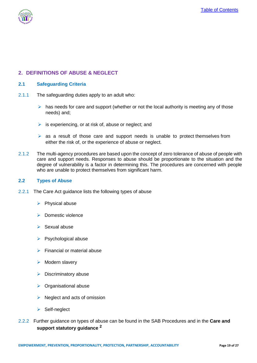

# <span id="page-18-0"></span>**2. DEFINITIONS OF ABUSE & NEGLECT**

#### <span id="page-18-1"></span>**2.1 Safeguarding Criteria**

- 2.1.1 The safeguarding duties apply to an adult who:
	- $\triangleright$  has needs for care and support (whether or not the local authority is meeting any of those needs) and;
	- $\triangleright$  is experiencing, or at risk of, abuse or neglect; and
	- $\triangleright$  as a result of those care and support needs is unable to protect themselves from either the risk of, or the experience of abuse or neglect.
- 2.1.2 The multi-agency procedures are based upon the concept of zero tolerance of abuse of people with care and support needs. Responses to abuse should be proportionate to the situation and the degree of vulnerability is a factor in determining this. The procedures are concerned with people who are unable to protect themselves from significant harm.

#### <span id="page-18-2"></span>**2.2 Types of Abuse**

- 2.2.1 The Care Act guidance lists the following types of abuse
	- $\triangleright$  Physical abuse
	- $\triangleright$  Domestic violence
	- $\triangleright$  Sexual abuse
	- $\triangleright$  Psychological abuse
	- $\triangleright$  Financial or material abuse
	- $\triangleright$  Modern slavery
	- $\triangleright$  Discriminatory abuse
	- $\triangleright$  Organisational abuse
	- $\triangleright$  Neglect and acts of omission
	- $\triangleright$  Self-neglect
- 2.2.2 Further guidance on types of abuse can be found in the SAB Procedures and in the **Care and support statutory guidance <sup>2</sup>**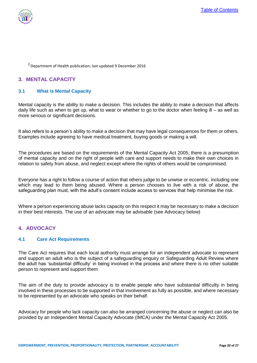

<sup>2</sup> Department of Health publication: last updated 9 December 2016

## <span id="page-19-0"></span>**3. MENTAL CAPACITY**

#### <span id="page-19-1"></span>**3.1 What is Mental Capacity**

Mental capacity is the ability to make a decision. This includes the ability to make a decision that affects daily life such as when to get up, what to wear or whether to go to the doctor when feeling ill – as well as more serious or significant decisions.

It also refers to a person's ability to make a decision that may have legal consequences for them or others. Examples include agreeing to have medical treatment, buying goods or making a will.

The procedures are based on the requirements of the Mental Capacity Act 2005; there is a presumption of mental capacity and on the right of people with care and support needs to make their own choices in relation to safety from abuse, and neglect except where the rights of others would be compromised.

Everyone has a right to follow a course of action that others judge to be unwise or eccentric, including one which may lead to them being abused. Where a person chooses to live with a risk of abuse, the safeguarding plan must, with the adult's consent include access to services that help minimise the risk.

Where a person experiencing abuse lacks capacity on this respect it may be necessary to make a decision in their best interests. The use of an advocate may be advisable (see Advocacy below)

#### <span id="page-19-2"></span>**4. ADVOCACY**

#### <span id="page-19-3"></span>**4.1 Care Act Requirements**

The Care Act requires that each local authority must arrange for an independent advocate to represent and support an adult who is the subject of a safeguarding enquiry or Safeguarding Adult Review where the adult has 'substantial difficulty' in being involved in the process and where there is no other suitable person to represent and support them

The aim of the duty to provide advocacy is to enable people who have substantial difficulty in being involved in these processes to be supported in that involvement as fully as possible, and where necessary to be represented by an advocate who speaks on their behalf.

Advocacy for people who lack capacity can also be arranged concerning the abuse or neglect can also be provided by an Independent Mental Capacity Advocate (IMCA) under the Mental Capacity Act 2005.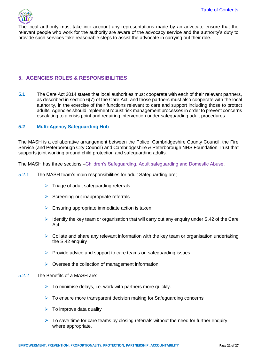

The local authority must take into account any representations made by an advocate ensure that the relevant people who work for the authority are aware of the advocacy service and the authority's duty to provide such services take reasonable steps to assist the advocate in carrying out their role.

# <span id="page-20-0"></span>**5. AGENCIES ROLES & RESPONSIBILITIES**

**5.1** The Care Act 2014 states that local authorities must cooperate with each of their relevant partners, as described in section 6(7) of the Care Act, and those partners must also cooperate with the local authority, in the exercise of their functions relevant to care and support including those to protect adults. Agencies should implement robust risk management processes in order to prevent concerns escalating to a crisis point and requiring intervention under safeguarding adult procedures.

#### <span id="page-20-1"></span>**5.2 Multi-Agency Safeguarding Hub**

The MASH is a collaborative arrangement between the Police, Cambridgeshire County Council, the Fire Service (and Peterborough City Council) and Cambridgeshire & Peterborough NHS Foundation Trust that supports joint working around child protection and safeguarding adults.

The MASH has three sections –Children's Safeguarding, Adult safeguarding and Domestic Abuse.

- 5.2.1 The MASH team's main responsibilities for adult Safeguarding are;
	- $\triangleright$  Triage of adult safeguarding referrals
	- $\triangleright$  Screening-out inappropriate referrals
	- $\triangleright$  Ensuring appropriate immediate action is taken
	- $\triangleright$  Identify the key team or organisation that will carry out any enquiry under S.42 of the Care Act
	- $\triangleright$  Collate and share any relevant information with the key team or organisation undertaking the S.42 enquiry
	- $\triangleright$  Provide advice and support to care teams on safeguarding issues
	- $\triangleright$  Oversee the collection of management information.

#### 5.2.2 The Benefits of a MASH are:

- $\triangleright$  To minimise delays, i.e. work with partners more quickly.
- $\triangleright$  To ensure more transparent decision making for Safeguarding concerns
- $\triangleright$  To improve data quality
- $\triangleright$  To save time for care teams by closing referrals without the need for further enquiry where appropriate.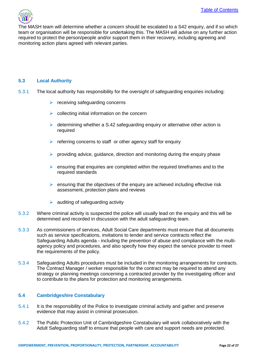The MASH team will determine whether a concern should be escalated to a S42 enquiry, and if so which team or organisation will be responsible for undertaking this. The MASH will advise on any further action required to protect the person/people and/or support them in their recovery, including agreeing and monitoring action plans agreed with relevant parties.

#### <span id="page-21-0"></span>**5.3 Local Authority**

- 5.3.1 The local authority has responsibility for the oversight of safeguarding enquiries including:
	- $\triangleright$  receiving safeguarding concerns
	- $\triangleright$  collecting initial information on the concern
	- $\triangleright$  determining whether a S.42 safeguarding enquiry or alternative other action is required
	- $\triangleright$  referring concerns to staff or other agency staff for enquiry
	- $\triangleright$  providing advice, guidance, direction and monitoring during the enquiry phase
	- $\triangleright$  ensuring that enquiries are completed within the required timeframes and to the required standards
	- $\triangleright$  ensuring that the objectives of the enquiry are achieved including effective risk assessment, protection plans and reviews
	- $\blacktriangleright$  auditing of safeguarding activity
- 5.3.2 Where criminal activity is suspected the police will usually lead on the enquiry and this will be determined and recorded in discussion with the adult safeguarding team.
- 5.3.3 As commissioners of services, Adult Social Care departments must ensure that all documents such as service specifications, invitations to tender and service contracts reflect the Safeguarding Adults agenda - including the prevention of abuse and compliance with the multiagency policy and procedures, and also specify how they expect the service provider to meet the requirements of the policy.
- 5.3.4 Safeguarding Adults procedures must be included in the monitoring arrangements for contracts. The Contract Manager / worker responsible for the contract may be required to attend any strategy or planning meetings concerning a contracted provider by the investigating officer and to contribute to the plans for protection and monitoring arrangements.

#### <span id="page-21-1"></span>**5.4 Cambridgeshire Constabulary**

- 5.4.1 It is the responsibility of the Police to investigate criminal activity and gather and preserve evidence that may assist in criminal prosecution.
- 5.4.2 The Public Protection Unit of Cambridgeshire Constabulary will work collaboratively with the Adult Safeguarding staff to ensure that people with care and support needs are protected.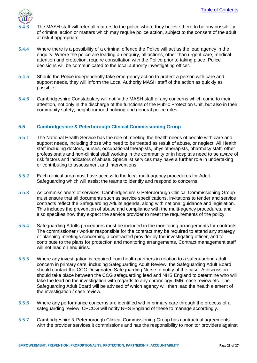

- The MASH staff will refer all matters to the police where they believe there to be any possibility of criminal action or matters which may require police action, subject to the consent of the adult at risk if appropriate.
- 5.4.4 Where there is a possibility of a criminal offence the Police will act as the lead agency in the enquiry. Where the police are leading an enquiry, all actions, other than urgent care, medical attention and protection, require consultation with the Police prior to taking place. Police decisions will be communicated to the local authority investigating officer.
- 5.4.5 Should the Police independently take emergency action to protect a person with care and support needs, they will inform the Local Authority MASH staff of the action as quickly as possible.
- 5.4.6 Cambridgeshire Constabulary will notify the MASH staff of any concerns which come to their attention, not only in the discharge of the functions of the Public Protection Unit, but also in their community safety, neighbourhood policing and general police roles.

#### <span id="page-22-0"></span>**5.5 Cambridgeshire & Peterborough Clinical Commissioning Group**

- 5.5.1 The National Health Service has the role of meeting the health needs of people with care and support needs, including those who need to be treated as result of abuse, or neglect. All Health staff including doctors, nurses, occupational therapists, physiotherapists, pharmacy staff, other professionals and non-clinical staff working in the community or in hospitals need to be aware of risk factors and indicators of abuse. Specialist services may have a further role in undertaking or contributing to assessment and interventions.
- 5.5.2 Each clinical area must have access to the local multi-agency procedures for Adult Safeguarding which will assist the teams to identify and respond to concerns
- 5.5.3 As commissioners of services, Cambridgeshire & Peterborough Clinical Commissioning Group must ensure that all documents such as service specifications, invitations to tender and service contracts reflect the Safeguarding Adults agenda, along with national guidance and legislation. This includes the prevention of abuse and compliance with the multi-agency procedures, and also specifies how they expect the service provider to meet the requirements of the policy.
- 5.5.4 Safeguarding Adults procedures must be included in the monitoring arrangements for contracts. The commissioner / worker responsible for the contract may be required to attend any strategy or planning meetings concerning a contracted provider by the investigating officer, and to contribute to the plans for protection and monitoring arrangements. Contract management staff will not lead on enquiries.
- 5.5.5 Where any investigation is required from health partners in relation to a safeguarding adult concern in primary care, including Safeguarding Adult Review, the Safeguarding Adult Board should contact the CCG Designated Safeguarding Nurse to notify of the case. A discussion should take place between the CCG safeguarding lead and NHS England to determine who will take the lead on the investigation with regards to any chronology, IMR, case review etc. The Safeguarding Adult Board will be advised of which agency will then lead the health element of the investigation / case review.
- 5.5.6 Where any performance concerns are identified within primary care through the process of a safeguarding review, CPCCG will notify NHS England of these to manage accordingly.
- 5.5.7 Cambridgeshire & Peterborough Clinical Commissioning Group has contractual agreements with the provider services it commissions and has the responsibility to monitor providers against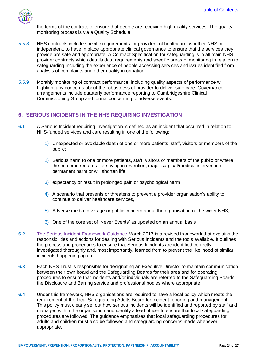

the terms of the contract to ensure that people are receiving high quality services. The quality monitoring process is via a Quality Schedule.

- 5.5.8 NHS contracts include specific requirements for providers of healthcare, whether NHS or independent, to have in place appropriate clinical governance to ensure that the services they provide are safe and appropriate. A Contract Specification for safeguarding is in all main NHS provider contracts which details data requirements and specific areas of monitoring in relation to safeguarding including the experience of people accessing services and issues identified from analysis of complaints and other quality information.
- 5.5.9 Monthly monitoring of contract performance, including quality aspects of performance will highlight any concerns about the robustness of provider to deliver safe care. Governance arrangements include quarterly performance reporting to Cambridgeshire Clinical Commissioning Group and formal concerning to adverse events.

## <span id="page-23-0"></span>**6. SERIOUS INCIDENTS IN THE NHS REQUIRING INVESTIGATION**

- **6.1** A Serious Incident requiring investigation is defined as an incident that occurred in relation to NHS-funded services and care resulting in one of the following:
	- 1) Unexpected or avoidable death of one or more patients, staff, visitors or members of the public;
	- 2) Serious harm to one or more patients, staff, visitors or members of the public or where the outcome requires life-saving intervention, major surgical/medical intervention, permanent harm or will shorten life
	- 3) expectancy or result in prolonged pain or psychological harm
	- 4) A scenario that prevents or threatens to prevent a provider organisation's ability to continue to deliver healthcare services,
	- 5) Adverse media coverage or public concern about the organisation or the wider NHS;
	- 6) One of the core set of 'Never Events' as updated on an annual basis
- **6.2** [The Serious Incident Framework Guidance](https://www.england.nhs.uk/wp-content/uploads/2015/04/serious-incidnt-framwrk-upd.pdf) March 2017 is a revised framework that explains the responsibilities and actions for dealing with Serious Incidents and the tools available. It outlines the process and procedures to ensure that Serious Incidents are identified correctly, investigated thoroughly and, most importantly, learned from to prevent the likelihood of similar incidents happening again.
- **6.3** Each NHS Trust is responsible for designating an Executive Director to maintain communication between their own board and the Safeguarding Boards for their area and for operating procedures to ensure that incidents and/or individuals are referred to the Safeguarding Boards, the Disclosure and Barring service and professional bodies where appropriate.
- **6.4** Under this framework, NHS organisations are required to have a local policy which meets the requirement of the local Safeguarding Adults Board for incident reporting and management. This policy must clearly set out how serious incidents will be identified and reported by staff and managed within the organisation and identify a lead officer to ensure that local safeguarding procedures are followed. The guidance emphasises that local safeguarding procedures for adults and children must also be followed and safeguarding concerns made whenever appropriate.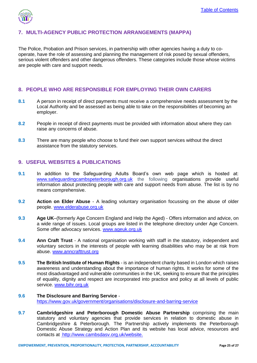

# <span id="page-24-0"></span>**7. MULTI-AGENCY PUBLIC PROTECTION ARRANGEMENTS (MAPPA)**

The Police, Probation and Prison services, in partnership with other agencies having a duty to cooperate, have the role of assessing and planning the management of risk posed by sexual offenders, serious violent offenders and other dangerous offenders. These categories include those whose victims are people with care and support needs.

#### <span id="page-24-1"></span>**8. PEOPLE WHO ARE RESPONSIBLE FOR EMPLOYING THEIR OWN CARERS**

- **8.1** A person in receipt of direct payments must receive a comprehensive needs assessment by the Local Authority and be assessed as being able to take on the responsibilities of becoming an employer.
- **8.2** People in receipt of direct payments must be provided with information about where they can raise any concerns of abuse.
- **8.3** There are many people who choose to fund their own support services without the direct assistance from the statutory services.

#### <span id="page-24-2"></span>**9. USEFUL WEBSITES & PUBLICATIONS**

- **9.1** In addition to the Safeguarding Adults Board's own web page which is hosted at: [www.safeguardingcambspeterborough.org.uk](http://www.safeguardingcambspeterborough.org.uk/) the following organisations provide useful information about protecting people with care and support needs from abuse. The list is by no means comprehensive.
- **9.2 Action on Elder Abuse**  A leading voluntary organisation focussing on the abuse of older people. [www.elderabuse.org.uk](file:///C:/Users/AAK558/Downloads/www.elderabuse.org.uk)
- **9.3 Age UK**–(formerly Age Concern England and Help the Aged) Offers information and advice, on a wide range of issues. Local groups are listed in the telephone directory under Age Concern. Some offer advocacy services. [www.ageuk.org.uk](file:///C:/Users/AAK558/Downloads/www.ageuk.org.uk)
- **9.4 Ann Craft Trust**  A national organisation working with staff in the statutory, independent and voluntary sectors in the interests of people with learning disabilities who may be at risk from abuse. [www.anncrafttrust.org](http://www.anncrafttrust.org/)
- **9.5 The British Institute of Human Rights**  is an independent charity based in London which raises awareness and understanding about the importance of human rights. It works for some of the most disadvantaged and vulnerable communities in the UK, seeking to ensure that the principles of equality, dignity and respect are incorporated into practice and policy at all levels of public service. [www.bihr.org.uk](file:///C:/Users/AAK558/Downloads/www.bihr.org.uk)
- **9.6 The Disclosure and Barring Service**  <https://www.gov.uk/government/organisations/disclosure-and-barring-service>
- **9.7 Cambridgeshire and Peterborough Domestic Abuse Partnership comprising the main** statutory and voluntary agencies that provide services in relation to domestic abuse in Cambridgeshire & Peterborough. The Partnership actively implements the Peterborough Domestic Abuse Strategy and Action Plan and its website has local advice, resources and contacts at<http://www.cambsdasv.org.uk/website.>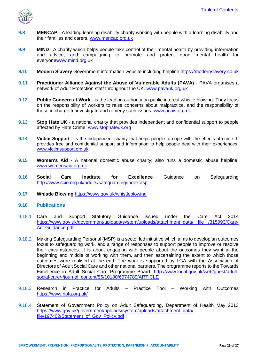

- **9.8 MENCAP**  A leading learning disability charity working with people with a learning disability and their families and carers. [www.mencap.org.uk](file:///C:/Users/AAK558/Downloads/www.mencap.org.uk)
- **9.9 MIND** A charity which helps people take control of their mental health by providing information and advice, and campaigning to promote and protect good mental health for everyon[ewww.mind.org.uk](file:///C:/Users/AAK558/Downloads/www.mind.org.uk)
- **9.10 Modern Slavery** Government information website including helpline [https://modernslavery.co.uk](https://modernslavery.co.uk/)
- **9.11 Practitioner Alliance Against the Abuse of Vulnerable Adults (PAVA)**  PAVA organises a network of Adult Protection staff throughout the UK. [www.pavauk.org.uk](http://www.pavauk.org.uk/)
- **9.12 Public Concern at Work**  is the leading authority on public interest whistle blowing. They focus on the responsibility of workers to raise concerns about malpractice, and the responsibility of those in charge to investigate and remedy such issues. [www.pcaw.org.uk](file:///C:/Users/AAK558/Downloads/www.pcaw.org.uk)
- **9.13 Stop Hate UK**  a national charity that provides independent and confidential support to people affected by Hate Crime. [www.stophateuk.org](file:///C:/Users/AAK558/Downloads/www.stophateuk.org)
- **9.14 Victim Support**  Is the independent charity that helps people to cope with the effects of crime. It provides free and confidential support and information to help people deal with their experiences. [www.victimsupport.org.uk](file:///C:/Users/AAK558/Downloads/www.victimsupport.org.uk)
- **9.15 Women's Aid**  A national domestic abuse charity; also runs a domestic abuse helpline. [www.womensaid.org.uk](file:///C:/Users/AAK558/Downloads/www.womensaid.org.uk)
- **9.16 Social Care Institute for Excellence** Guidance on Safeguarding <http://www.scie.org.uk/adults/safeguarding/index.asp>
- **9.17 Whistle Blowing** <https://www.gov.uk/whistleblowing>
- **9.18 Publications**
- 9.18.1 Care and Support Statutory Guidance issued under the Care Act 2014 https://www.gov.uk/government/uploads/system/uploads/attachment\_data/\_file /315993/Care-[Act-Guidance.pdf](https://www.gov.uk/government/uploads/system/uploads/attachment_data/%20file%20/315993/Care-Act-Guidance.pdf)
- 9.18.2 Making Safeguarding Personal (MSP) is a sector led initiative which aims to develop an outcomes focus to safeguarding work, and a range of responses to support people to improve or resolve their circumstances. It is about engaging with people about the outcomes they want at the beginning and middle of working with them, and then ascertaining the extent to which those outcomes were realised at the end. The work is supported by LGA with the Association of Directors of Adult Social Care and other national partners. The programme reports to the Towards Excellence in Adult Social Care Programme Board. [http://www.local.gov.uk/web/guest/adult](http://www.local.gov.uk/web/guest/adult-social-care/-/journal_content/56/10180/6074789/ARTICLE)[social-care/-/journal\\_content/56/10180/6074789/ARTICLE](http://www.local.gov.uk/web/guest/adult-social-care/-/journal_content/56/10180/6074789/ARTICLE)
- 9.18.3 Research in Practice for Adults Practice Tool Working with Outcomes <https://www.ripfa.org.uk/>
- 9.18.4 Statement of Government Policy on Adult Safeguarding, Department of Health May 2013 [https://www.gov.uk/government/uploads/system/uploads/attachment\\_data/](https://www.gov.uk/government/uploads/system/uploads/attachment_data/%20file/197402/Statement_of_Gov_Policy.pdf)  [file/197402/Statement\\_of\\_Gov\\_Policy.pdf](https://www.gov.uk/government/uploads/system/uploads/attachment_data/%20file/197402/Statement_of_Gov_Policy.pdf)